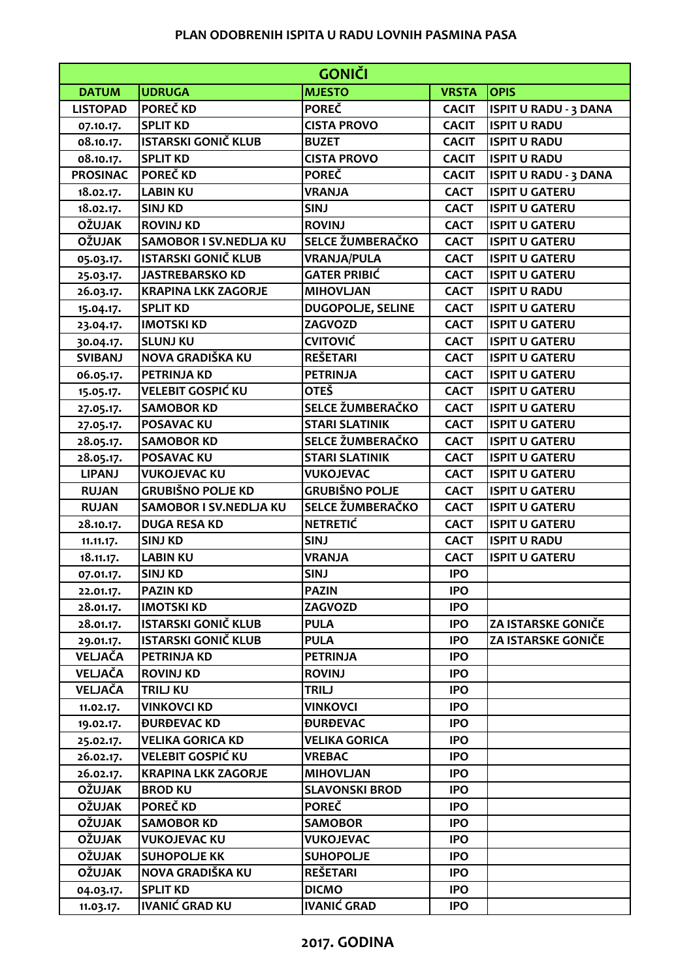## **PLAN ODOBRENIH ISPITA U RADU LOVNIH PASMINA PASA**

| <b>GONIČI</b>   |                               |                          |              |                              |  |  |
|-----------------|-------------------------------|--------------------------|--------------|------------------------------|--|--|
| <b>DATUM</b>    | <b>UDRUGA</b>                 | <b>MJESTO</b>            | <b>VRSTA</b> | <b>OPIS</b>                  |  |  |
| <b>LISTOPAD</b> | POREČ KD                      | <b>POREČ</b>             | <b>CACIT</b> | <b>ISPIT U RADU - 3 DANA</b> |  |  |
| 07.10.17.       | <b>SPLIT KD</b>               | <b>CISTA PROVO</b>       | <b>CACIT</b> | <b>ISPIT U RADU</b>          |  |  |
| 08.10.17.       | <b>ISTARSKI GONIČ KLUB</b>    | <b>BUZET</b>             | <b>CACIT</b> | <b>ISPIT U RADU</b>          |  |  |
| 08.10.17.       | <b>SPLIT KD</b>               | <b>CISTA PROVO</b>       | <b>CACIT</b> | <b>ISPIT U RADU</b>          |  |  |
| <b>PROSINAC</b> | POREČ KD                      | <b>POREC</b>             | <b>CACIT</b> | <b>ISPIT U RADU - 3 DANA</b> |  |  |
| 18.02.17.       | <b>LABIN KU</b>               | <b>VRANJA</b>            | <b>CACT</b>  | <b>ISPIT U GATERU</b>        |  |  |
| 18.02.17.       | <b>SINJ KD</b>                | <b>SINJ</b>              | <b>CACT</b>  | <b>ISPIT U GATERU</b>        |  |  |
| <b>OŽUJAK</b>   | <b>ROVINJ KD</b>              | <b>ROVINJ</b>            | <b>CACT</b>  | <b>ISPIT U GATERU</b>        |  |  |
| <b>OŽUJAK</b>   | <b>SAMOBOR I SV.NEDLJA KU</b> | SELCE ŽUMBERAČKO         | <b>CACT</b>  | <b>ISPIT U GATERU</b>        |  |  |
| 05.03.17.       | ISTARSKI GONIČ KLUB           | <b>VRANJA/PULA</b>       | <b>CACT</b>  | <b>ISPIT U GATERU</b>        |  |  |
| 25.03.17.       | <b>JASTREBARSKO KD</b>        | <b>GATER PRIBIĆ</b>      | <b>CACT</b>  | <b>ISPIT U GATERU</b>        |  |  |
| 26.03.17.       | <b>KRAPINA LKK ZAGORJE</b>    | <b>MIHOVLJAN</b>         | <b>CACT</b>  | <b>ISPIT U RADU</b>          |  |  |
| 15.04.17.       | <b>SPLIT KD</b>               | <b>DUGOPOLJE, SELINE</b> | <b>CACT</b>  | <b>ISPIT U GATERU</b>        |  |  |
| 23.04.17.       | <b>IMOTSKI KD</b>             | ZAGVOZD                  | <b>CACT</b>  | <b>ISPIT U GATERU</b>        |  |  |
| 30.04.17.       | <b>SLUNJ KU</b>               | <b>CVITOVIĆ</b>          | <b>CACT</b>  | <b>ISPIT U GATERU</b>        |  |  |
| <b>SVIBANJ</b>  | NOVA GRADIŠKA KU              | <b>REŠETARI</b>          | <b>CACT</b>  | <b>ISPIT U GATERU</b>        |  |  |
| 06.05.17.       | <b>PETRINJA KD</b>            | <b>PETRINJA</b>          | <b>CACT</b>  | <b>ISPIT U GATERU</b>        |  |  |
| 15.05.17.       | VELEBIT GOSPIĆ KU             | <b>OTEŠ</b>              | <b>CACT</b>  | <b>ISPIT U GATERU</b>        |  |  |
| 27.05.17.       | <b>SAMOBOR KD</b>             | SELCE ŽUMBERAČKO         | <b>CACT</b>  | <b>ISPIT U GATERU</b>        |  |  |
| 27.05.17.       | <b>POSAVAC KU</b>             | <b>STARI SLATINIK</b>    | <b>CACT</b>  | <b>ISPIT U GATERU</b>        |  |  |
| 28.05.17.       | <b>SAMOBOR KD</b>             | SELCE ŽUMBERAČKO         | <b>CACT</b>  | <b>ISPIT U GATERU</b>        |  |  |
| 28.05.17.       | <b>POSAVAC KU</b>             | <b>STARI SLATINIK</b>    | <b>CACT</b>  | <b>ISPIT U GATERU</b>        |  |  |
| <b>LIPANJ</b>   | <b>VUKOJEVAC KU</b>           | <b>VUKOJEVAC</b>         | <b>CACT</b>  | <b>ISPIT U GATERU</b>        |  |  |
| <b>RUJAN</b>    | <b>GRUBIŠNO POLJE KD</b>      | <b>GRUBIŠNO POLJE</b>    | <b>CACT</b>  | <b>ISPIT U GATERU</b>        |  |  |
| <b>RUJAN</b>    | <b>SAMOBOR I SV.NEDLJA KU</b> | SELCE ŽUMBERAČKO         | <b>CACT</b>  | <b>ISPIT U GATERU</b>        |  |  |
| 28.10.17.       | <b>DUGA RESA KD</b>           | <b>NETRETIĆ</b>          | <b>CACT</b>  | <b>ISPIT U GATERU</b>        |  |  |
| 11.11.17.       | <b>SINJ KD</b>                | <b>SINJ</b>              | <b>CACT</b>  | <b>ISPIT U RADU</b>          |  |  |
| 18.11.17.       | <b>LABIN KU</b>               | <b>VRANJA</b>            | <b>CACT</b>  | <b>ISPIT U GATERU</b>        |  |  |
| 07.01.17.       | <b>SINJ KD</b>                | <b>SINJ</b>              | <b>IPO</b>   |                              |  |  |
| 22.01.17.       | <b>PAZIN KD</b>               | <b>PAZIN</b>             | <b>IPO</b>   |                              |  |  |
| 28.01.17.       | <b>IMOTSKI KD</b>             | ZAGVOZD                  | <b>IPO</b>   |                              |  |  |
| 28.01.17.       | <b>ISTARSKI GONIČ KLUB</b>    | <b>PULA</b>              | <b>IPO</b>   | ZA ISTARSKE GONIČE           |  |  |
| 29.01.17.       | <b>ISTARSKI GONIČ KLUB</b>    | <b>PULA</b>              | <b>IPO</b>   | <b>ZA ISTARSKE GONIČE</b>    |  |  |
| VELJAČA         | <b>PETRINJA KD</b>            | <b>PETRINJA</b>          | <b>IPO</b>   |                              |  |  |
| VELJAČA         | <b>ROVINJ KD</b>              | <b>ROVINJ</b>            | <b>IPO</b>   |                              |  |  |
| VELJAČA         | <b>TRILJ KU</b>               | <b>TRILJ</b>             | <b>IPO</b>   |                              |  |  |
| 11.02.17.       | <b>VINKOVCI KD</b>            | <b>VINKOVCI</b>          | <b>IPO</b>   |                              |  |  |
| 19.02.17.       | <b><i>DURDEVAC KD</i></b>     | <b><i>DURDEVAC</i></b>   | <b>IPO</b>   |                              |  |  |
| 25.02.17.       | <b>VELIKA GORICA KD</b>       | <b>VELIKA GORICA</b>     | <b>IPO</b>   |                              |  |  |
| 26.02.17.       | VELEBIT GOSPIĆ KU             | <b>VREBAC</b>            | <b>IPO</b>   |                              |  |  |
| 26.02.17.       | <b>KRAPINA LKK ZAGORJE</b>    | <b>MIHOVLJAN</b>         | <b>IPO</b>   |                              |  |  |
| <b>OŽUJAK</b>   | <b>BROD KU</b>                | <b>SLAVONSKI BROD</b>    | <b>IPO</b>   |                              |  |  |
| <b>OŽUJAK</b>   | POREČ KD                      | <b>POREČ</b>             | <b>IPO</b>   |                              |  |  |
| <b>OŽUJAK</b>   | <b>SAMOBOR KD</b>             | <b>SAMOBOR</b>           | <b>IPO</b>   |                              |  |  |
| <b>OŽUJAK</b>   | <b>VUKOJEVAC KU</b>           | <b>VUKOJEVAC</b>         | <b>IPO</b>   |                              |  |  |
| <b>OŽUJAK</b>   | <b>SUHOPOLJE KK</b>           | <b>SUHOPOLJE</b>         | <b>IPO</b>   |                              |  |  |
| <b>OŽUJAK</b>   | NOVA GRADIŠKA KU              | <b>REŠETARI</b>          | <b>IPO</b>   |                              |  |  |
| 04.03.17.       | <b>SPLIT KD</b>               | <b>DICMO</b>             | <b>IPO</b>   |                              |  |  |
| 11.03.17.       | <b>IVANIĆ GRAD KU</b>         | <b>IVANIĆ GRAD</b>       | <b>IPO</b>   |                              |  |  |

## **2017. GODINA**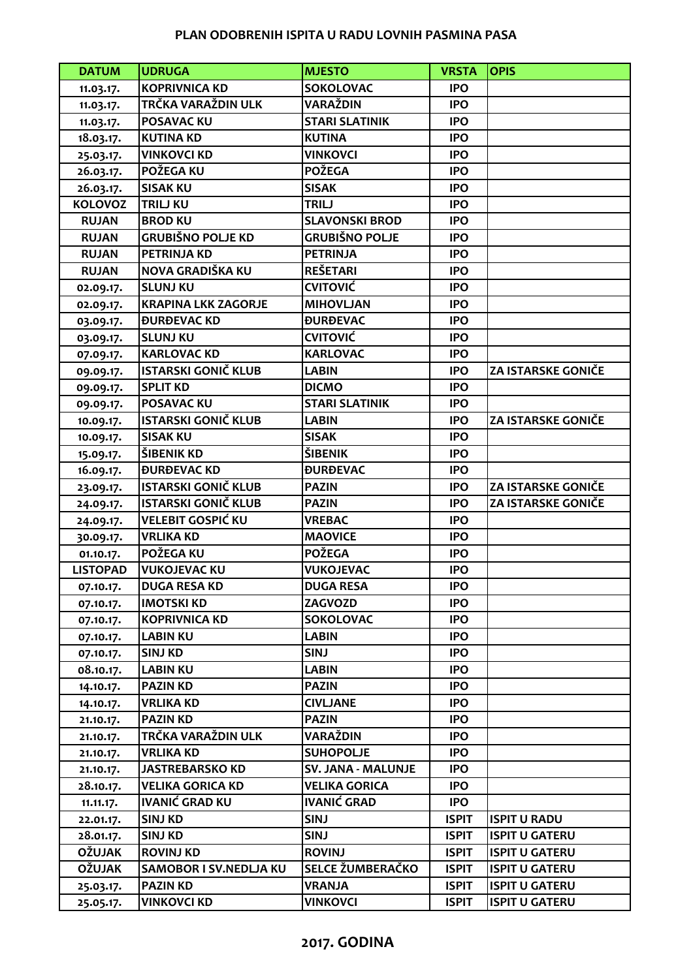## **PLAN ODOBRENIH ISPITA U RADU LOVNIH PASMINA PASA**

| <b>DATUM</b>    | <b>UDRUGA</b>              | <b>MJESTO</b>                 | <b>VRSTA</b> | <b>OPIS</b>               |
|-----------------|----------------------------|-------------------------------|--------------|---------------------------|
| 11.03.17.       | <b>KOPRIVNICA KD</b>       | <b>SOKOLOVAC</b>              | <b>IPO</b>   |                           |
| 11.03.17.       | TRČKA VARAŽDIN ULK         | <b>VARAŽDIN</b>               | <b>IPO</b>   |                           |
| 11.03.17.       | <b>POSAVAC KU</b>          | <b>STARI SLATINIK</b>         | <b>IPO</b>   |                           |
| 18.03.17.       | <b>KUTINA KD</b>           | <b>KUTINA</b>                 | <b>IPO</b>   |                           |
| 25.03.17.       | <b>VINKOVCI KD</b>         | <b>VINKOVCI</b>               | <b>IPO</b>   |                           |
| 26.03.17.       | <b>POŽEGA KU</b>           | <b>POŽEGA</b>                 | <b>IPO</b>   |                           |
| 26.03.17.       | <b>SISAK KU</b>            | <b>SISAK</b>                  | <b>IPO</b>   |                           |
| <b>KOLOVOZ</b>  | <b>TRILJ KU</b>            | <b>TRILJ</b>                  | <b>IPO</b>   |                           |
| <b>RUJAN</b>    | <b>BROD KU</b>             | <b>SLAVONSKI BROD</b>         | <b>IPO</b>   |                           |
| <b>RUJAN</b>    | <b>GRUBIŠNO POLJE KD</b>   | <b>GRUBIŠNO POLJE</b>         | <b>IPO</b>   |                           |
| <b>RUJAN</b>    | <b>PETRINJA KD</b>         | <b>PETRINJA</b>               | <b>IPO</b>   |                           |
| <b>RUJAN</b>    | NOVA GRADIŠKA KU           | <b>REŠETARI</b>               | <b>IPO</b>   |                           |
| 02.09.17.       | <b>SLUNJ KU</b>            | <b>CVITOVIĆ</b>               | <b>IPO</b>   |                           |
| 02.09.17.       | <b>KRAPINA LKK ZAGORJE</b> | <b>MIHOVLJAN</b>              | <b>IPO</b>   |                           |
| 03.09.17.       | <b><i>ĐURĐEVAC KD</i></b>  | <b><i>ĐURĐEVAC</i></b>        | <b>IPO</b>   |                           |
| 03.09.17.       | <b>SLUNJ KU</b>            | <b>CVITOVIĆ</b>               | <b>IPO</b>   |                           |
| 07.09.17.       | <b>KARLOVAC KD</b>         | <b>KARLOVAC</b>               | <b>IPO</b>   |                           |
| 09.09.17.       | <b>ISTARSKI GONIČ KLUB</b> | <b>LABIN</b>                  | <b>IPO</b>   | <b>ZA ISTARSKE GONIČE</b> |
| 09.09.17.       | <b>SPLIT KD</b>            | <b>DICMO</b>                  | <b>IPO</b>   |                           |
| 09.09.17.       | <b>POSAVAC KU</b>          | <b>STARI SLATINIK</b>         | <b>IPO</b>   |                           |
| 10.09.17.       | <b>ISTARSKI GONIČ KLUB</b> | <b>LABIN</b>                  | <b>IPO</b>   | <b>ZA ISTARSKE GONIČE</b> |
| 10.09.17.       | <b>SISAK KU</b>            | <b>SISAK</b>                  | <b>IPO</b>   |                           |
| 15.09.17.       | ŠIBENIK KD                 | <b>ŠIBENIK</b>                | <b>IPO</b>   |                           |
| 16.09.17.       | <b><i>BURBEVAC KD</i></b>  | <b><i><u>DURDEVAC</u></i></b> | <b>IPO</b>   |                           |
| 23.09.17.       | <b>ISTARSKI GONIČ KLUB</b> | <b>PAZIN</b>                  | <b>IPO</b>   | <b>ZA ISTARSKE GONIČE</b> |
| 24.09.17.       | <b>ISTARSKI GONIČ KLUB</b> | <b>PAZIN</b>                  | <b>IPO</b>   | <b>ZA ISTARSKE GONIČE</b> |
| 24.09.17.       | <b>VELEBIT GOSPIĆ KU</b>   | <b>VREBAC</b>                 | <b>IPO</b>   |                           |
| 30.09.17.       | <b>VRLIKA KD</b>           | <b>MAOVICE</b>                | <b>IPO</b>   |                           |
| 01.10.17.       | POŽEGA KU                  | <b>POŽEGA</b>                 | <b>IPO</b>   |                           |
| <b>LISTOPAD</b> | <b>VUKOJEVAC KU</b>        | <b>VUKOJEVAC</b>              | <b>IPO</b>   |                           |
| 07.10.17.       | <b>DUGA RESA KD</b>        | <b>DUGA RESA</b>              | <b>IPO</b>   |                           |
| 07.10.17.       | <b>IMOTSKI KD</b>          | ZAGVOZD                       | <b>IPO</b>   |                           |
| 07.10.17.       | <b>KOPRIVNICA KD</b>       | <b>SOKOLOVAC</b>              | <b>IPO</b>   |                           |
| 07.10.17.       | <b>LABIN KU</b>            | <b>LABIN</b>                  | <b>IPO</b>   |                           |
| 07.10.17.       | <b>SINJ KD</b>             | <b>SINJ</b>                   | <b>IPO</b>   |                           |
| 08.10.17.       | <b>LABIN KU</b>            | <b>LABIN</b>                  | <b>IPO</b>   |                           |
| 14.10.17.       | <b>PAZIN KD</b>            | <b>PAZIN</b>                  | <b>IPO</b>   |                           |
| 14.10.17.       | <b>VRLIKA KD</b>           | <b>CIVLJANE</b>               | <b>IPO</b>   |                           |
| 21.10.17.       | <b>PAZIN KD</b>            | <b>PAZIN</b>                  | <b>IPO</b>   |                           |
| 21.10.17.       | TRČKA VARAŽDIN ULK         | VARAŽDIN                      | <b>IPO</b>   |                           |
| 21.10.17.       | <b>VRLIKA KD</b>           | <b>SUHOPOLJE</b>              | <b>IPO</b>   |                           |
| 21.10.17.       | <b>JASTREBARSKO KD</b>     | SV. JANA - MALUNJE            | <b>IPO</b>   |                           |
| 28.10.17.       | <b>VELIKA GORICA KD</b>    | <b>VELIKA GORICA</b>          | <b>IPO</b>   |                           |
| 11.11.17.       | <b>IVANIĆ GRAD KU</b>      | <b>IVANIĆ GRAD</b>            | <b>IPO</b>   |                           |
| 22.01.17.       | <b>SINJ KD</b>             | <b>SINJ</b>                   | <b>ISPIT</b> | <b>ISPIT U RADU</b>       |
| 28.01.17.       | <b>SINJ KD</b>             | <b>SINJ</b>                   | <b>ISPIT</b> | <b>ISPIT U GATERU</b>     |
| <b>OŽUJAK</b>   | <b>ROVINJ KD</b>           | <b>ROVINJ</b>                 | <b>ISPIT</b> | <b>ISPIT U GATERU</b>     |
| <b>OŽUJAK</b>   | SAMOBOR I SV.NEDLJA KU     | SELCE ŽUMBERAČKO              | <b>ISPIT</b> | <b>ISPIT U GATERU</b>     |
| 25.03.17.       | <b>PAZIN KD</b>            | <b>VRANJA</b>                 | <b>ISPIT</b> | <b>ISPIT U GATERU</b>     |
| 25.05.17.       | <b>VINKOVCI KD</b>         | <b>VINKOVCI</b>               | <b>ISPIT</b> | <b>ISPIT U GATERU</b>     |